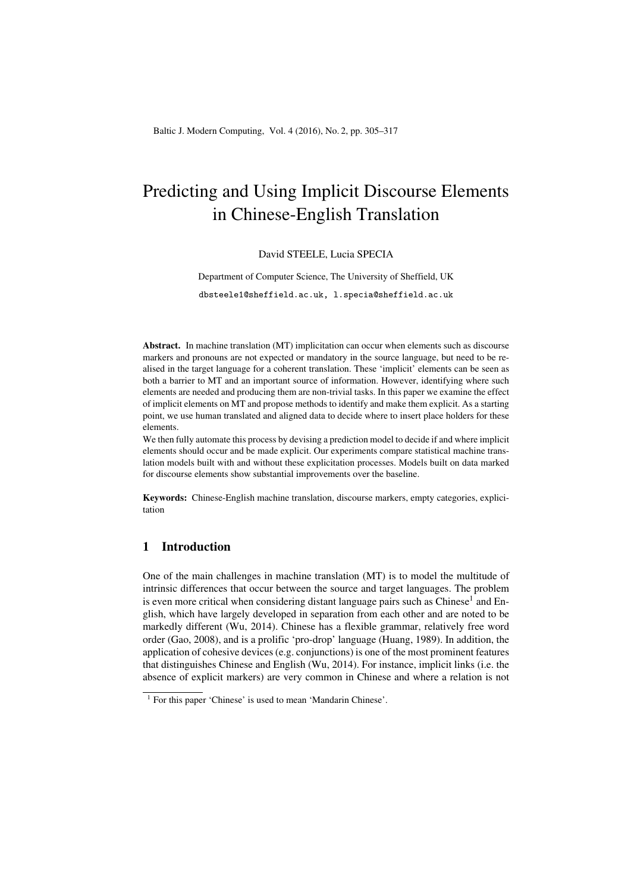# Predicting and Using Implicit Discourse Elements in Chinese-English Translation

#### David STEELE, Lucia SPECIA

Department of Computer Science, The University of Sheffield, UK dbsteele1@sheffield.ac.uk, l.specia@sheffield.ac.uk

Abstract. In machine translation (MT) implicitation can occur when elements such as discourse markers and pronouns are not expected or mandatory in the source language, but need to be realised in the target language for a coherent translation. These 'implicit' elements can be seen as both a barrier to MT and an important source of information. However, identifying where such elements are needed and producing them are non-trivial tasks. In this paper we examine the effect of implicit elements on MT and propose methods to identify and make them explicit. As a starting point, we use human translated and aligned data to decide where to insert place holders for these elements.

We then fully automate this process by devising a prediction model to decide if and where implicit elements should occur and be made explicit. Our experiments compare statistical machine translation models built with and without these explicitation processes. Models built on data marked for discourse elements show substantial improvements over the baseline.

Keywords: Chinese-English machine translation, discourse markers, empty categories, explicitation

## 1 Introduction

One of the main challenges in machine translation (MT) is to model the multitude of intrinsic differences that occur between the source and target languages. The problem is even more critical when considering distant language pairs such as  $Chinese<sup>1</sup>$  and English, which have largely developed in separation from each other and are noted to be markedly different (Wu, 2014). Chinese has a flexible grammar, relatively free word order (Gao, 2008), and is a prolific 'pro-drop' language (Huang, 1989). In addition, the application of cohesive devices (e.g. conjunctions) is one of the most prominent features that distinguishes Chinese and English (Wu, 2014). For instance, implicit links (i.e. the absence of explicit markers) are very common in Chinese and where a relation is not

<sup>&</sup>lt;sup>1</sup> For this paper 'Chinese' is used to mean 'Mandarin Chinese'.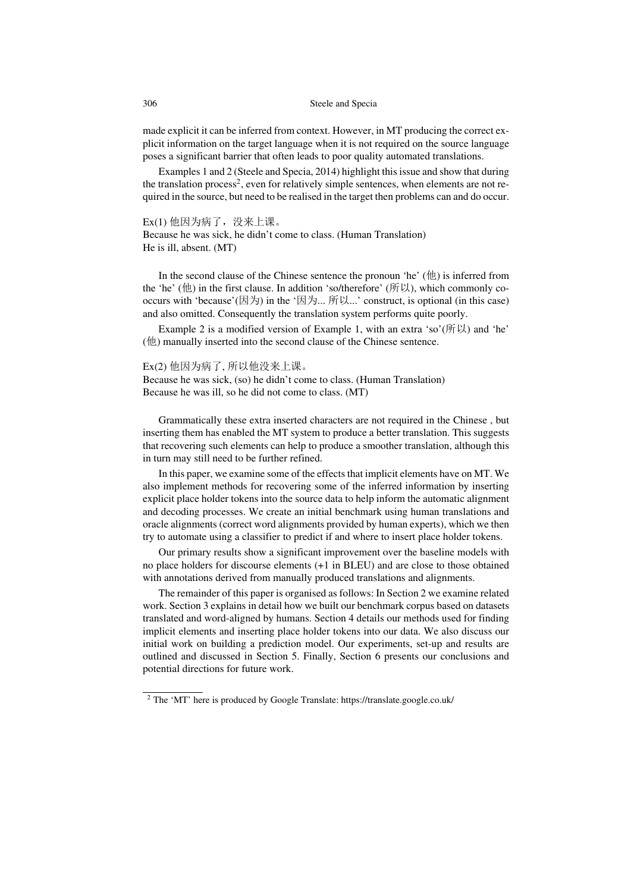made explicit it can be inferred from context. However, in MT producing the correct explicit information on the target language when it is not required on the source language poses a significant barrier that often leads to poor quality automated translations.

Examples 1 and 2 (Steele and Specia, 2014) highlight this issue and show that during the translation process<sup>2</sup>, even for relatively simple sentences, when elements are not required in the source, but need to be realised in the target then problems can and do occur.

#### Ex(1) 他因为病了,没来上课。

Because he was sick, he didn't come to class. (Human Translation) He is ill, absent. (MT)

In the second clause of the Chinese sentence the pronoun 'he' (他) is inferred from the 'he' (他) in the first clause. In addition 'so/therefore' (所以), which commonly cooccurs with 'because'(因为) in the '因为... 所以...' construct, is optional (in this case) and also omitted. Consequently the translation system performs quite poorly.

Example 2 is a modified version of Example 1, with an extra 'so'( $\mathfrak{h}(\mathbb{R})$ ) and 'he' (他) manually inserted into the second clause of the Chinese sentence.

#### Ex(2) 他因为病了, 所以他没来上课。

Because he was sick, (so) he didn't come to class. (Human Translation) Because he was ill, so he did not come to class. (MT)

Grammatically these extra inserted characters are not required in the Chinese , but inserting them has enabled the MT system to produce a better translation. This suggests that recovering such elements can help to produce a smoother translation, although this in turn may still need to be further refined.

In this paper, we examine some of the effects that implicit elements have on MT. We also implement methods for recovering some of the inferred information by inserting explicit place holder tokens into the source data to help inform the automatic alignment and decoding processes. We create an initial benchmark using human translations and oracle alignments (correct word alignments provided by human experts), which we then try to automate using a classifier to predict if and where to insert place holder tokens.

Our primary results show a significant improvement over the baseline models with no place holders for discourse elements (+1 in BLEU) and are close to those obtained with annotations derived from manually produced translations and alignments.

The remainder of this paper is organised as follows: In Section 2 we examine related work. Section 3 explains in detail how we built our benchmark corpus based on datasets translated and word-aligned by humans. Section 4 details our methods used for finding implicit elements and inserting place holder tokens into our data. We also discuss our initial work on building a prediction model. Our experiments, set-up and results are outlined and discussed in Section 5. Finally, Section 6 presents our conclusions and potential directions for future work.

<sup>2</sup> The 'MT' here is produced by Google Translate: https://translate.google.co.uk/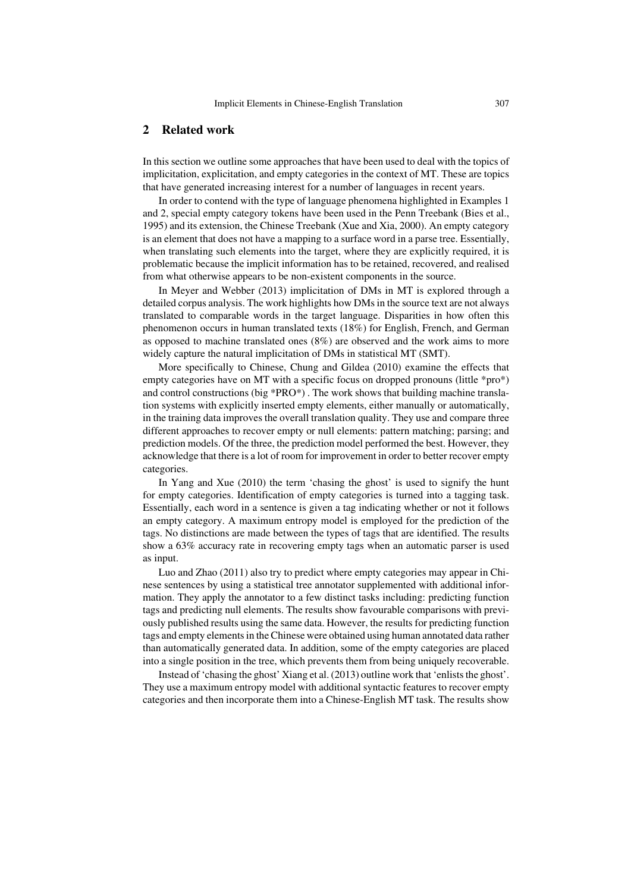## 2 Related work

In this section we outline some approaches that have been used to deal with the topics of implicitation, explicitation, and empty categories in the context of MT. These are topics that have generated increasing interest for a number of languages in recent years.

In order to contend with the type of language phenomena highlighted in Examples 1 and 2, special empty category tokens have been used in the Penn Treebank (Bies et al., 1995) and its extension, the Chinese Treebank (Xue and Xia, 2000). An empty category is an element that does not have a mapping to a surface word in a parse tree. Essentially, when translating such elements into the target, where they are explicitly required, it is problematic because the implicit information has to be retained, recovered, and realised from what otherwise appears to be non-existent components in the source.

In Meyer and Webber (2013) implicitation of DMs in MT is explored through a detailed corpus analysis. The work highlights how DMs in the source text are not always translated to comparable words in the target language. Disparities in how often this phenomenon occurs in human translated texts (18%) for English, French, and German as opposed to machine translated ones (8%) are observed and the work aims to more widely capture the natural implicitation of DMs in statistical MT (SMT).

More specifically to Chinese, Chung and Gildea (2010) examine the effects that empty categories have on MT with a specific focus on dropped pronouns (little \*pro\*) and control constructions (big  $*PRO*$ ). The work shows that building machine translation systems with explicitly inserted empty elements, either manually or automatically, in the training data improves the overall translation quality. They use and compare three different approaches to recover empty or null elements: pattern matching; parsing; and prediction models. Of the three, the prediction model performed the best. However, they acknowledge that there is a lot of room for improvement in order to better recover empty categories.

In Yang and Xue (2010) the term 'chasing the ghost' is used to signify the hunt for empty categories. Identification of empty categories is turned into a tagging task. Essentially, each word in a sentence is given a tag indicating whether or not it follows an empty category. A maximum entropy model is employed for the prediction of the tags. No distinctions are made between the types of tags that are identified. The results show a 63% accuracy rate in recovering empty tags when an automatic parser is used as input.

Luo and Zhao (2011) also try to predict where empty categories may appear in Chinese sentences by using a statistical tree annotator supplemented with additional information. They apply the annotator to a few distinct tasks including: predicting function tags and predicting null elements. The results show favourable comparisons with previously published results using the same data. However, the results for predicting function tags and empty elements in the Chinese were obtained using human annotated data rather than automatically generated data. In addition, some of the empty categories are placed into a single position in the tree, which prevents them from being uniquely recoverable.

Instead of 'chasing the ghost' Xiang et al. (2013) outline work that 'enlists the ghost'. They use a maximum entropy model with additional syntactic features to recover empty categories and then incorporate them into a Chinese-English MT task. The results show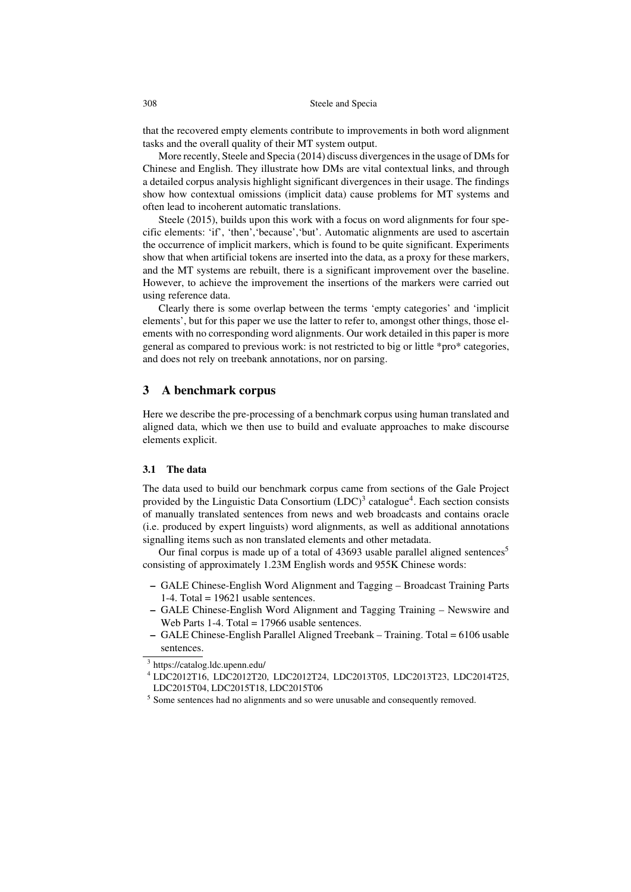that the recovered empty elements contribute to improvements in both word alignment tasks and the overall quality of their MT system output.

More recently, Steele and Specia (2014) discuss divergences in the usage of DMs for Chinese and English. They illustrate how DMs are vital contextual links, and through a detailed corpus analysis highlight significant divergences in their usage. The findings show how contextual omissions (implicit data) cause problems for MT systems and often lead to incoherent automatic translations.

Steele (2015), builds upon this work with a focus on word alignments for four specific elements: 'if', 'then','because','but'. Automatic alignments are used to ascertain the occurrence of implicit markers, which is found to be quite significant. Experiments show that when artificial tokens are inserted into the data, as a proxy for these markers, and the MT systems are rebuilt, there is a significant improvement over the baseline. However, to achieve the improvement the insertions of the markers were carried out using reference data.

Clearly there is some overlap between the terms 'empty categories' and 'implicit elements', but for this paper we use the latter to refer to, amongst other things, those elements with no corresponding word alignments. Our work detailed in this paper is more general as compared to previous work: is not restricted to big or little \*pro\* categories, and does not rely on treebank annotations, nor on parsing.

# 3 A benchmark corpus

Here we describe the pre-processing of a benchmark corpus using human translated and aligned data, which we then use to build and evaluate approaches to make discourse elements explicit.

## 3.1 The data

The data used to build our benchmark corpus came from sections of the Gale Project provided by the Linguistic Data Consortium  $(LOC)^3$  catalogue<sup>4</sup>. Each section consists of manually translated sentences from news and web broadcasts and contains oracle (i.e. produced by expert linguists) word alignments, as well as additional annotations signalling items such as non translated elements and other metadata.

Our final corpus is made up of a total of 43693 usable parallel aligned sentences<sup>5</sup> consisting of approximately 1.23M English words and 955K Chinese words:

- GALE Chinese-English Word Alignment and Tagging Broadcast Training Parts 1-4. Total =  $19621$  usable sentences.
- GALE Chinese-English Word Alignment and Tagging Training Newswire and Web Parts 1-4. Total = 17966 usable sentences.
- GALE Chinese-English Parallel Aligned Treebank Training. Total = 6106 usable sentences.

<sup>4</sup> LDC2012T16, LDC2012T20, LDC2012T24, LDC2013T05, LDC2013T23, LDC2014T25, LDC2015T04, LDC2015T18, LDC2015T06

<sup>3</sup> https://catalog.ldc.upenn.edu/

<sup>&</sup>lt;sup>5</sup> Some sentences had no alignments and so were unusable and consequently removed.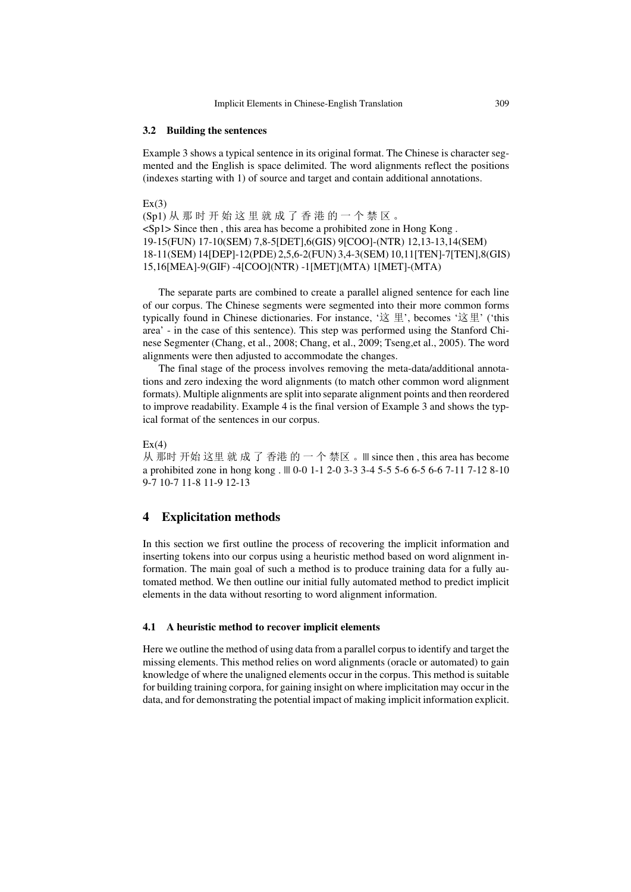#### 3.2 Building the sentences

Example 3 shows a typical sentence in its original format. The Chinese is character segmented and the English is space delimited. The word alignments reflect the positions (indexes starting with 1) of source and target and contain additional annotations.

 $Ex(3)$ (Sp1) 从 那 时 开 始 这 里 就 成 了 香 港 的 一 个 禁 区 。 <Sp1> Since then , this area has become a prohibited zone in Hong Kong . 19-15(FUN) 17-10(SEM) 7,8-5[DET],6(GIS) 9[COO]-(NTR) 12,13-13,14(SEM) 18-11(SEM) 14[DEP]-12(PDE) 2,5,6-2(FUN) 3,4-3(SEM) 10,11[TEN]-7[TEN],8(GIS) 15,16[MEA]-9(GIF) -4[COO](NTR) -1[MET](MTA) 1[MET]-(MTA)

The separate parts are combined to create a parallel aligned sentence for each line of our corpus. The Chinese segments were segmented into their more common forms typically found in Chinese dictionaries. For instance, '这 里', becomes '这里' ('this area' - in the case of this sentence). This step was performed using the Stanford Chinese Segmenter (Chang, et al., 2008; Chang, et al., 2009; Tseng,et al., 2005). The word alignments were then adjusted to accommodate the changes.

The final stage of the process involves removing the meta-data/additional annotations and zero indexing the word alignments (to match other common word alignment formats). Multiple alignments are split into separate alignment points and then reordered to improve readability. Example 4 is the final version of Example 3 and shows the typical format of the sentences in our corpus.

#### $Ex(4)$

从 那时 开始 这里 就 成 了 香港 的 一 个 禁区 。||| since then , this area has become a prohibited zone in hong kong . ||| 0-0 1-1 2-0 3-3 3-4 5-5 5-6 6-5 6-6 7-11 7-12 8-10 9-7 10-7 11-8 11-9 12-13

## 4 Explicitation methods

In this section we first outline the process of recovering the implicit information and inserting tokens into our corpus using a heuristic method based on word alignment information. The main goal of such a method is to produce training data for a fully automated method. We then outline our initial fully automated method to predict implicit elements in the data without resorting to word alignment information.

#### 4.1 A heuristic method to recover implicit elements

Here we outline the method of using data from a parallel corpus to identify and target the missing elements. This method relies on word alignments (oracle or automated) to gain knowledge of where the unaligned elements occur in the corpus. This method is suitable for building training corpora, for gaining insight on where implicitation may occur in the data, and for demonstrating the potential impact of making implicit information explicit.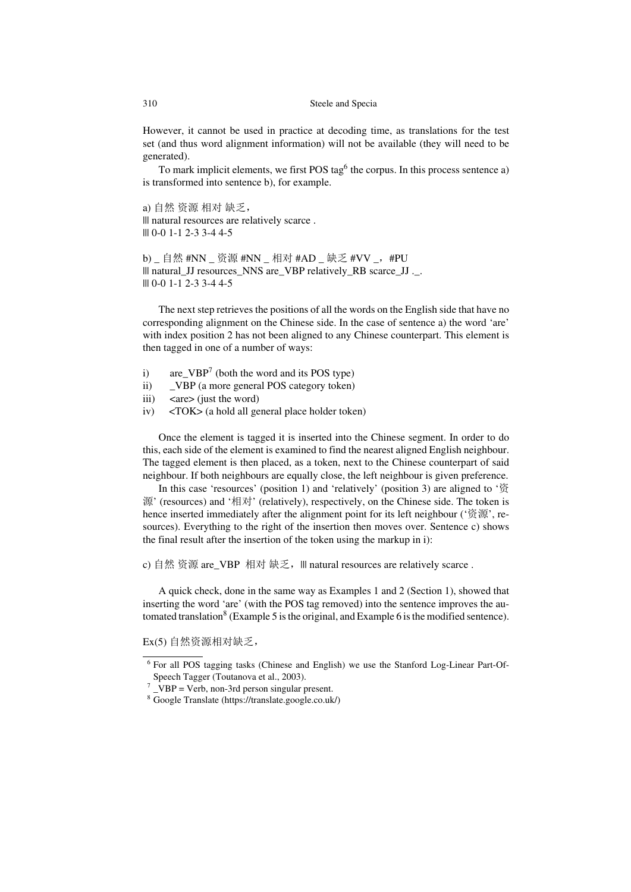However, it cannot be used in practice at decoding time, as translations for the test set (and thus word alignment information) will not be available (they will need to be generated).

To mark implicit elements, we first POS tag $<sup>6</sup>$  the corpus. In this process sentence a)</sup> is transformed into sentence b), for example.

a) 自然 资源 相对 缺乏, ||| natural resources are relatively scarce . ||| 0-0 1-1 2-3 3-4 4-5

b) \_ 自然 #NN \_ 资源 #NN \_ 相对 #AD \_ 缺乏 #VV \_, #PU ||| natural\_JJ resources\_NNS are\_VBP relatively\_RB scarce\_JJ .\_. ||| 0-0 1-1 2-3 3-4 4-5

The next step retrieves the positions of all the words on the English side that have no corresponding alignment on the Chinese side. In the case of sentence a) the word 'are' with index position 2 has not been aligned to any Chinese counterpart. This element is then tagged in one of a number of ways:

- i) are  $VBP<sup>7</sup>$  (both the word and its POS type)
- ii) \_VBP (a more general POS category token)
- iii)  $\langle$  <are > (just the word)
- iv) <TOK> (a hold all general place holder token)

Once the element is tagged it is inserted into the Chinese segment. In order to do this, each side of the element is examined to find the nearest aligned English neighbour. The tagged element is then placed, as a token, next to the Chinese counterpart of said neighbour. If both neighbours are equally close, the left neighbour is given preference.

In this case 'resources' (position 1) and 'relatively' (position 3) are aligned to '资 源' (resources) and '相对' (relatively), respectively, on the Chinese side. The token is hence inserted immediately after the alignment point for its left neighbour ('资源', resources). Everything to the right of the insertion then moves over. Sentence c) shows the final result after the insertion of the token using the markup in i):

c) 自然 资源 are\_VBP 相对 缺乏, ||| natural resources are relatively scarce .

A quick check, done in the same way as Examples 1 and 2 (Section 1), showed that inserting the word 'are' (with the POS tag removed) into the sentence improves the automated translation<sup>8</sup> (Example 5 is the original, and Example 6 is the modified sentence).

Ex(5) 自然资源相对缺乏,

<sup>&</sup>lt;sup>6</sup> For all POS tagging tasks (Chinese and English) we use the Stanford Log-Linear Part-Of-Speech Tagger (Toutanova et al., 2003).

 $7$  \_VBP = Verb, non-3rd person singular present.

<sup>8</sup> Google Translate (https://translate.google.co.uk/)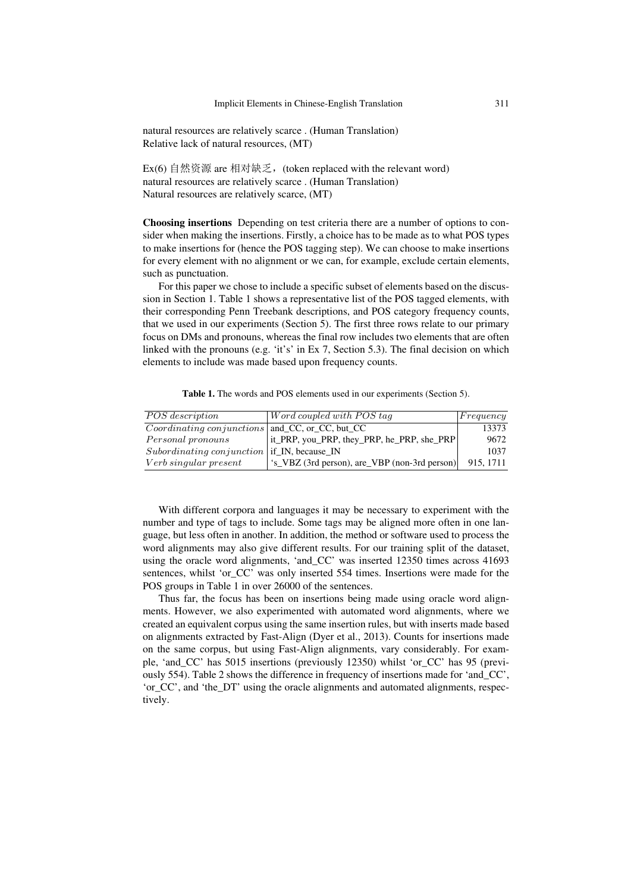natural resources are relatively scarce . (Human Translation) Relative lack of natural resources, (MT)

Ex(6) 自然资源 are 相对缺乏, (token replaced with the relevant word) natural resources are relatively scarce . (Human Translation) Natural resources are relatively scarce, (MT)

Choosing insertions Depending on test criteria there are a number of options to consider when making the insertions. Firstly, a choice has to be made as to what POS types to make insertions for (hence the POS tagging step). We can choose to make insertions for every element with no alignment or we can, for example, exclude certain elements, such as punctuation.

For this paper we chose to include a specific subset of elements based on the discussion in Section 1. Table 1 shows a representative list of the POS tagged elements, with their corresponding Penn Treebank descriptions, and POS category frequency counts, that we used in our experiments (Section 5). The first three rows relate to our primary focus on DMs and pronouns, whereas the final row includes two elements that are often linked with the pronouns (e.g. 'it's' in Ex 7, Section 5.3). The final decision on which elements to include was made based upon frequency counts.

Table 1. The words and POS elements used in our experiments (Section 5).

| POS description                                    | $\vert$ Word coupled with POS tag             | Frequency |
|----------------------------------------------------|-----------------------------------------------|-----------|
| $Coordinating\ conjunctions$ and CC, or CC, but CC |                                               | 13373     |
| Personal pronouns                                  | it_PRP, you_PRP, they_PRP, he_PRP, she_PRP    | 9672      |
| $Subordinating$ conjunction   if IN, because IN    |                                               | 1037      |
| Verb singular present                              | 's_VBZ (3rd person), are_VBP (non-3rd person) | 915, 1711 |

With different corpora and languages it may be necessary to experiment with the number and type of tags to include. Some tags may be aligned more often in one language, but less often in another. In addition, the method or software used to process the word alignments may also give different results. For our training split of the dataset, using the oracle word alignments, 'and\_CC' was inserted 12350 times across 41693 sentences, whilst 'or\_CC' was only inserted 554 times. Insertions were made for the POS groups in Table 1 in over 26000 of the sentences.

Thus far, the focus has been on insertions being made using oracle word alignments. However, we also experimented with automated word alignments, where we created an equivalent corpus using the same insertion rules, but with inserts made based on alignments extracted by Fast-Align (Dyer et al., 2013). Counts for insertions made on the same corpus, but using Fast-Align alignments, vary considerably. For example, 'and\_CC' has 5015 insertions (previously 12350) whilst 'or\_CC' has 95 (previously 554). Table 2 shows the difference in frequency of insertions made for 'and\_CC', 'or\_CC', and 'the\_DT' using the oracle alignments and automated alignments, respectively.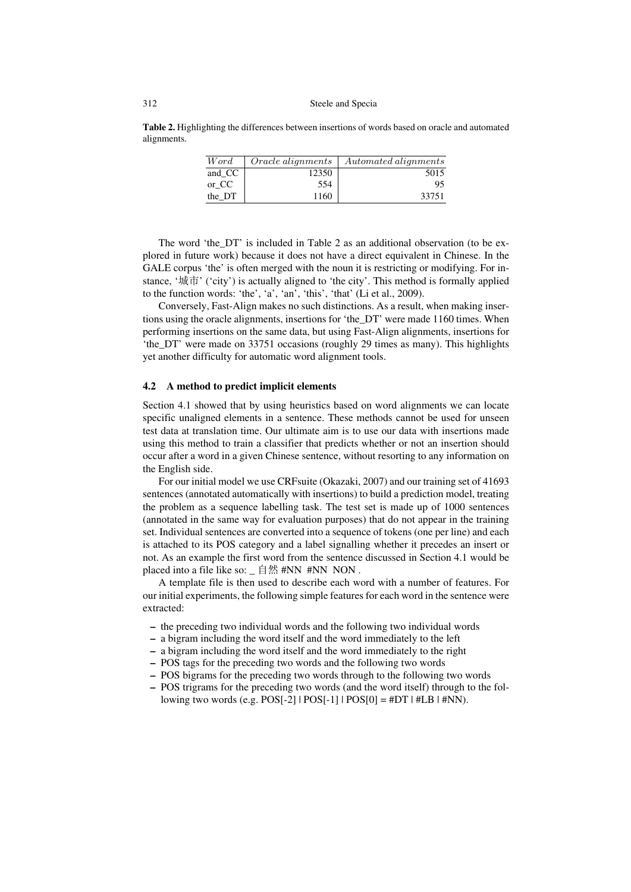Table 2. Highlighting the differences between insertions of words based on oracle and automated alignments.

| Word   | <i>Oracle alignments</i> | Automated alignments |
|--------|--------------------------|----------------------|
| and CC | 12350                    | 5015                 |
| or CC  | 554                      | 95                   |
| the DT | 1160                     | 33751                |

The word 'the\_DT' is included in Table 2 as an additional observation (to be explored in future work) because it does not have a direct equivalent in Chinese. In the GALE corpus 'the' is often merged with the noun it is restricting or modifying. For instance, '城市' ('city') is actually aligned to 'the city'. This method is formally applied to the function words: 'the', 'a', 'an', 'this', 'that' (Li et al., 2009).

Conversely, Fast-Align makes no such distinctions. As a result, when making insertions using the oracle alignments, insertions for 'the\_DT' were made 1160 times. When performing insertions on the same data, but using Fast-Align alignments, insertions for 'the\_DT' were made on 33751 occasions (roughly 29 times as many). This highlights yet another difficulty for automatic word alignment tools.

#### 4.2 A method to predict implicit elements

Section 4.1 showed that by using heuristics based on word alignments we can locate specific unaligned elements in a sentence. These methods cannot be used for unseen test data at translation time. Our ultimate aim is to use our data with insertions made using this method to train a classifier that predicts whether or not an insertion should occur after a word in a given Chinese sentence, without resorting to any information on the English side.

For our initial model we use CRFsuite (Okazaki, 2007) and our training set of 41693 sentences (annotated automatically with insertions) to build a prediction model, treating the problem as a sequence labelling task. The test set is made up of 1000 sentences (annotated in the same way for evaluation purposes) that do not appear in the training set. Individual sentences are converted into a sequence of tokens (one per line) and each is attached to its POS category and a label signalling whether it precedes an insert or not. As an example the first word from the sentence discussed in Section 4.1 would be placed into a file like so: \_ 自然 #NN #NN NON .

A template file is then used to describe each word with a number of features. For our initial experiments, the following simple features for each word in the sentence were extracted:

- the preceding two individual words and the following two individual words
- a bigram including the word itself and the word immediately to the left
- a bigram including the word itself and the word immediately to the right
- POS tags for the preceding two words and the following two words
- POS bigrams for the preceding two words through to the following two words
- POS trigrams for the preceding two words (and the word itself) through to the following two words (e.g.  $POS[-2]$  |  $POS[-1]$  |  $POS[0] = #DT$  |  $#LB$  |  $#NN$ ).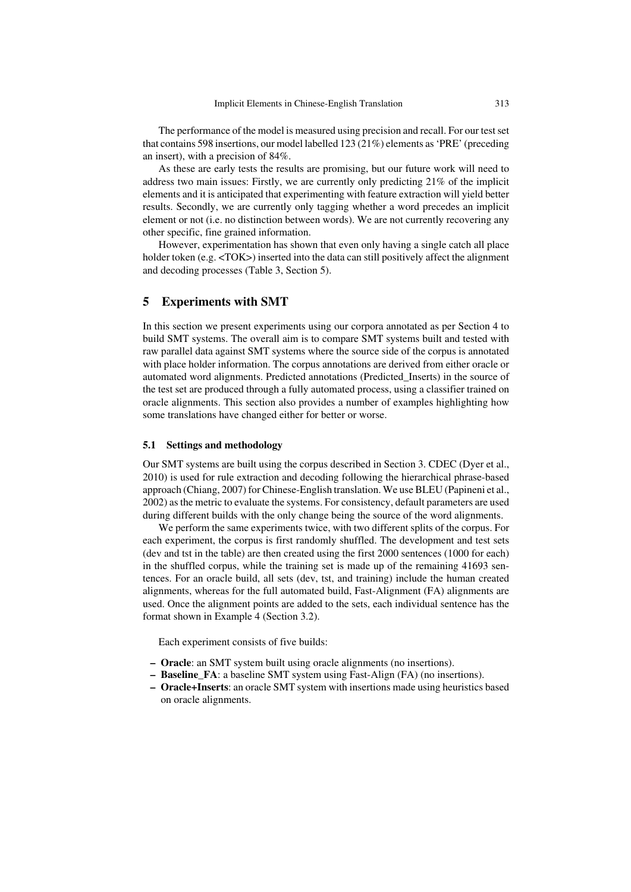The performance of the model is measured using precision and recall. For our test set that contains 598 insertions, our model labelled 123 (21%) elements as 'PRE' (preceding an insert), with a precision of 84%.

As these are early tests the results are promising, but our future work will need to address two main issues: Firstly, we are currently only predicting 21% of the implicit elements and it is anticipated that experimenting with feature extraction will yield better results. Secondly, we are currently only tagging whether a word precedes an implicit element or not (i.e. no distinction between words). We are not currently recovering any other specific, fine grained information.

However, experimentation has shown that even only having a single catch all place holder token (e.g.  $\langle \text{TOK}\rangle$ ) inserted into the data can still positively affect the alignment and decoding processes (Table 3, Section 5).

## 5 Experiments with SMT

In this section we present experiments using our corpora annotated as per Section 4 to build SMT systems. The overall aim is to compare SMT systems built and tested with raw parallel data against SMT systems where the source side of the corpus is annotated with place holder information. The corpus annotations are derived from either oracle or automated word alignments. Predicted annotations (Predicted\_Inserts) in the source of the test set are produced through a fully automated process, using a classifier trained on oracle alignments. This section also provides a number of examples highlighting how some translations have changed either for better or worse.

#### 5.1 Settings and methodology

Our SMT systems are built using the corpus described in Section 3. CDEC (Dyer et al., 2010) is used for rule extraction and decoding following the hierarchical phrase-based approach (Chiang, 2007) for Chinese-English translation. We use BLEU (Papineni et al., 2002) as the metric to evaluate the systems. For consistency, default parameters are used during different builds with the only change being the source of the word alignments.

We perform the same experiments twice, with two different splits of the corpus. For each experiment, the corpus is first randomly shuffled. The development and test sets (dev and tst in the table) are then created using the first 2000 sentences (1000 for each) in the shuffled corpus, while the training set is made up of the remaining 41693 sentences. For an oracle build, all sets (dev, tst, and training) include the human created alignments, whereas for the full automated build, Fast-Alignment (FA) alignments are used. Once the alignment points are added to the sets, each individual sentence has the format shown in Example 4 (Section 3.2).

Each experiment consists of five builds:

- Oracle: an SMT system built using oracle alignments (no insertions).
- Baseline\_FA: a baseline SMT system using Fast-Align (FA) (no insertions).
- Oracle+Inserts: an oracle SMT system with insertions made using heuristics based on oracle alignments.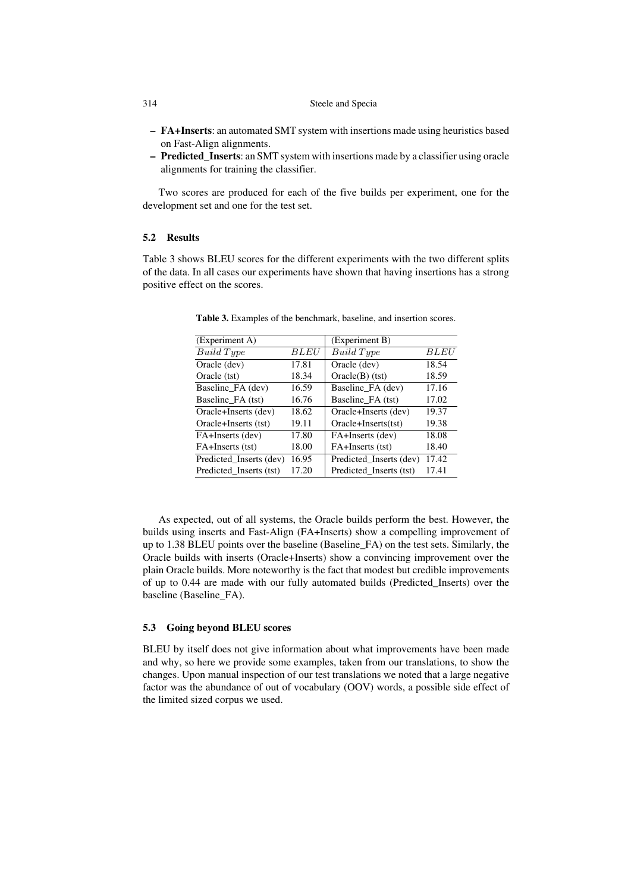- FA+Inserts: an automated SMT system with insertions made using heuristics based on Fast-Align alignments.
- Predicted\_Inserts: an SMT system with insertions made by a classifier using oracle alignments for training the classifier.

Two scores are produced for each of the five builds per experiment, one for the development set and one for the test set.

## 5.2 Results

Table 3 shows BLEU scores for the different experiments with the two different splits of the data. In all cases our experiments have shown that having insertions has a strong positive effect on the scores.

|             | (Experiment B)          |             |
|-------------|-------------------------|-------------|
| <i>BLEU</i> | Build Type              | <i>BLEU</i> |
| 17.81       | Oracle (dev)            | 18.54       |
| 18.34       | $Oracle(B)$ (tst)       | 18.59       |
| 16.59       | Baseline FA (dev)       | 17.16       |
| 16.76       | Baseline FA (tst)       | 17.02       |
| 18.62       | Oracle+Inserts (dev)    | 19.37       |
| 19.11       | Oracle+Inserts(tst)     | 19.38       |
| 17.80       | FA+Inserts (dev)        | 18.08       |
| 18.00       | FA+Inserts (tst)        | 18.40       |
| 16.95       | Predicted Inserts (dev) | 17.42       |
| 17.20       | Predicted Inserts (tst) | 17.41       |
|             |                         |             |

Table 3. Examples of the benchmark, baseline, and insertion scores.

As expected, out of all systems, the Oracle builds perform the best. However, the builds using inserts and Fast-Align (FA+Inserts) show a compelling improvement of up to 1.38 BLEU points over the baseline (Baseline\_FA) on the test sets. Similarly, the Oracle builds with inserts (Oracle+Inserts) show a convincing improvement over the plain Oracle builds. More noteworthy is the fact that modest but credible improvements of up to 0.44 are made with our fully automated builds (Predicted\_Inserts) over the baseline (Baseline\_FA).

#### 5.3 Going beyond BLEU scores

BLEU by itself does not give information about what improvements have been made and why, so here we provide some examples, taken from our translations, to show the changes. Upon manual inspection of our test translations we noted that a large negative factor was the abundance of out of vocabulary (OOV) words, a possible side effect of the limited sized corpus we used.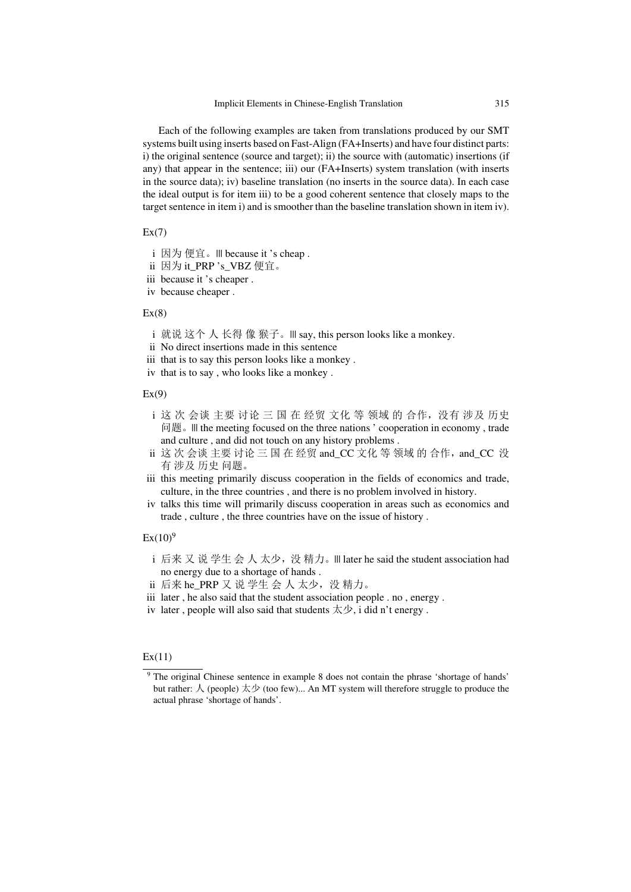Each of the following examples are taken from translations produced by our SMT systems built using inserts based on Fast-Align (FA+Inserts) and have four distinct parts: i) the original sentence (source and target); ii) the source with (automatic) insertions (if any) that appear in the sentence; iii) our (FA+Inserts) system translation (with inserts in the source data); iv) baseline translation (no inserts in the source data). In each case the ideal output is for item iii) to be a good coherent sentence that closely maps to the target sentence in item i) and is smoother than the baseline translation shown in item iv).

#### $Ex(7)$

- i 因为 便宜。||| because it 's cheap .
- ii 因为 it\_PRP 's\_VBZ 便宜。
- iii because it 's cheaper .
- iv because cheaper .

#### $Ex(8)$

- i 就说 这个 人 长得 像 猴子。||| say, this person looks like a monkey.
- ii No direct insertions made in this sentence
- iii that is to say this person looks like a monkey .
- iv that is to say , who looks like a monkey .

## $Ex(9)$

- i 这 次 会谈 主要 讨论 三 国 在 经贸 文化 等 领域 的 合作,没有 涉及 历史 问题。||| the meeting focused on the three nations ' cooperation in economy , trade and culture , and did not touch on any history problems .
- $i$ i 这 次 会谈 主要 讨论 三 国 在 经贸 and\_CC 文化 等 领域 的 合作, and\_CC 没 有 涉及 历史 问题。
- iii this meeting primarily discuss cooperation in the fields of economics and trade, culture, in the three countries , and there is no problem involved in history.
- iv talks this time will primarily discuss cooperation in areas such as economics and trade , culture , the three countries have on the issue of history .

#### $Ex(10)^9$

- i 后来 又 说 学生 会 人 太少, 没 精力。|| later he said the student association had no energy due to a shortage of hands .
- ii 后来 he\_PRP 又 说 学生 会 人 太少, 没 精力。
- iii later , he also said that the student association people . no , energy .
- iv later, people will also said that students  $\overline{\mathcal{R}}\mathcal{P}$ , i did n't energy.

#### $Ex(11)$

<sup>&</sup>lt;sup>9</sup> The original Chinese sentence in example 8 does not contain the phrase 'shortage of hands' but rather: 人 (people) 太少 (too few)... An MT system will therefore struggle to produce the actual phrase 'shortage of hands'.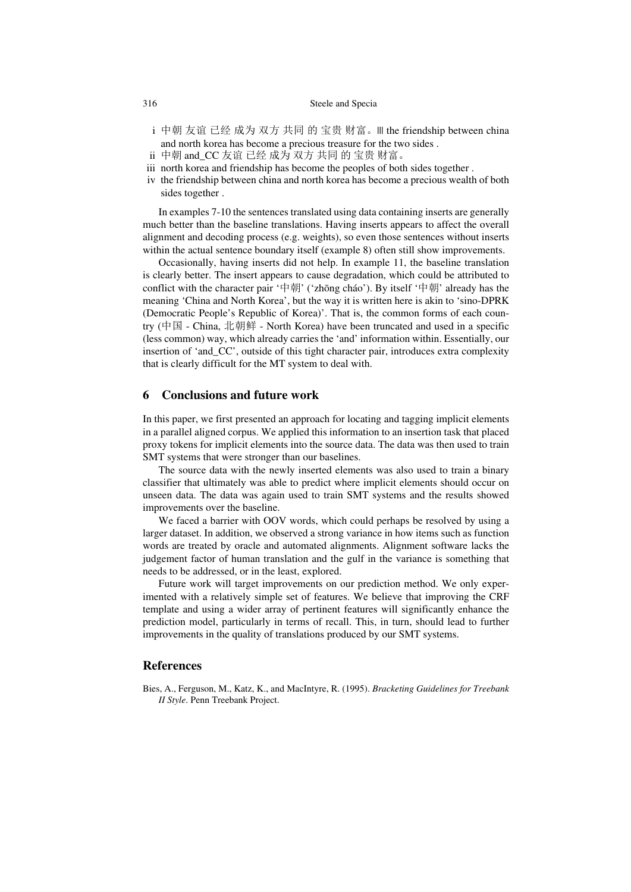- i 中朝 友谊 已经 成为 双方 共同 的 宝贵 财富。III the friendship between china and north korea has become a precious treasure for the two sides .
- ii 中朝 and\_CC 友谊 已经 成为 双方 共同 的 宝贵 财富。
- iii north korea and friendship has become the peoples of both sides together .
- iv the friendship between china and north korea has become a precious wealth of both sides together .

In examples 7-10 the sentences translated using data containing inserts are generally much better than the baseline translations. Having inserts appears to affect the overall alignment and decoding process (e.g. weights), so even those sentences without inserts within the actual sentence boundary itself (example 8) often still show improvements.

Occasionally, having inserts did not help. In example 11, the baseline translation is clearly better. The insert appears to cause degradation, which could be attributed to conflict with the character pair '中朝' ('zhōng cháo'). By itself '中朝' already has the meaning 'China and North Korea', but the way it is written here is akin to 'sino-DPRK (Democratic People's Republic of Korea)'. That is, the common forms of each country (中国 - China, 北朝鲜 - North Korea) have been truncated and used in a specific (less common) way, which already carries the 'and' information within. Essentially, our insertion of 'and\_CC', outside of this tight character pair, introduces extra complexity that is clearly difficult for the MT system to deal with.

## 6 Conclusions and future work

In this paper, we first presented an approach for locating and tagging implicit elements in a parallel aligned corpus. We applied this information to an insertion task that placed proxy tokens for implicit elements into the source data. The data was then used to train SMT systems that were stronger than our baselines.

The source data with the newly inserted elements was also used to train a binary classifier that ultimately was able to predict where implicit elements should occur on unseen data. The data was again used to train SMT systems and the results showed improvements over the baseline.

We faced a barrier with OOV words, which could perhaps be resolved by using a larger dataset. In addition, we observed a strong variance in how items such as function words are treated by oracle and automated alignments. Alignment software lacks the judgement factor of human translation and the gulf in the variance is something that needs to be addressed, or in the least, explored.

Future work will target improvements on our prediction method. We only experimented with a relatively simple set of features. We believe that improving the CRF template and using a wider array of pertinent features will significantly enhance the prediction model, particularly in terms of recall. This, in turn, should lead to further improvements in the quality of translations produced by our SMT systems.

## References

Bies, A., Ferguson, M., Katz, K., and MacIntyre, R. (1995). *Bracketing Guidelines for Treebank II Style*. Penn Treebank Project.